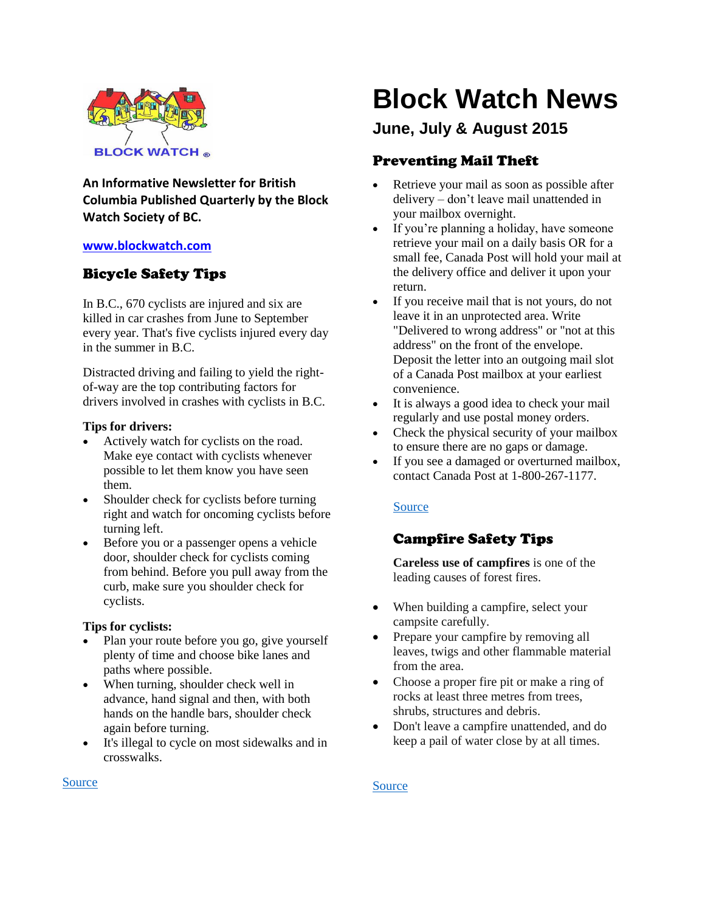

**An Informative Newsletter for British Columbia Published Quarterly by the Block Watch Society of BC.**

# **[www.blockwatch.com](http://www.blockwatch.com/)**

# Bicycle Safety Tips

In B.C., 670 cyclists are injured and six are killed in car crashes from June to September every year. That's five cyclists injured every day in the summer in B.C.

Distracted driving and failing to yield the rightof-way are the top contributing factors for drivers involved in crashes with cyclists in B.C.

## **Tips for drivers:**

- Actively watch for cyclists on the road. Make eye contact with cyclists whenever possible to let them know you have seen them.
- Shoulder check for cyclists before turning right and watch for oncoming cyclists before turning left.
- Before you or a passenger opens a vehicle door, shoulder check for cyclists coming from behind. Before you pull away from the curb, make sure you shoulder check for cyclists.

## **Tips for cyclists:**

- Plan your route before you go, give yourself plenty of time and choose bike lanes and paths where possible.
- When turning, shoulder check well in advance, hand signal and then, with both hands on the handle bars, shoulder check again before turning.
- It's illegal to cycle on most sidewalks and in crosswalks.

# **Block Watch News**

# **June, July & August 2015**

# Preventing Mail Theft

- Retrieve your mail as soon as possible after delivery – don't leave mail unattended in your mailbox overnight.
- If you're planning a holiday, have someone retrieve your mail on a daily basis OR for a small fee, Canada Post will hold your mail at the delivery office and deliver it upon your return.
- If you receive mail that is not yours, do not leave it in an unprotected area. Write "Delivered to wrong address" or "not at this address" on the front of the envelope. Deposit the letter into an outgoing mail slot of a Canada Post mailbox at your earliest convenience.
- It is always a good idea to check your mail regularly and use postal money orders.
- Check the physical security of your mailbox to ensure there are no gaps or damage.
- If you see a damaged or overturned mailbox, contact Canada Post at 1-800-267-1177.

# [Source](http://bc.cb.rcmp-grc.gc.ca/ViewPage.action?siteNodeId=50&languageId=1&contentId=32872)

# Campfire Safety Tips

**Careless use of campfires** is one of the leading causes of forest fires.

- When building a campfire, select your campsite carefully.
- Prepare your campfire by removing all leaves, twigs and other flammable material from the area.
- Choose a proper fire pit or make a ring of rocks at least three metres from trees, shrubs, structures and debris.
- Don't leave a campfire unattended, and do keep a pail of water close by at all times.

## [Source](http://bcwildfire.ca/Prevention/prevent_wildfires.htm)

#### [Source](http://www.icbc.com/about-icbc/newsroom/Pages/2015-May19.aspx)